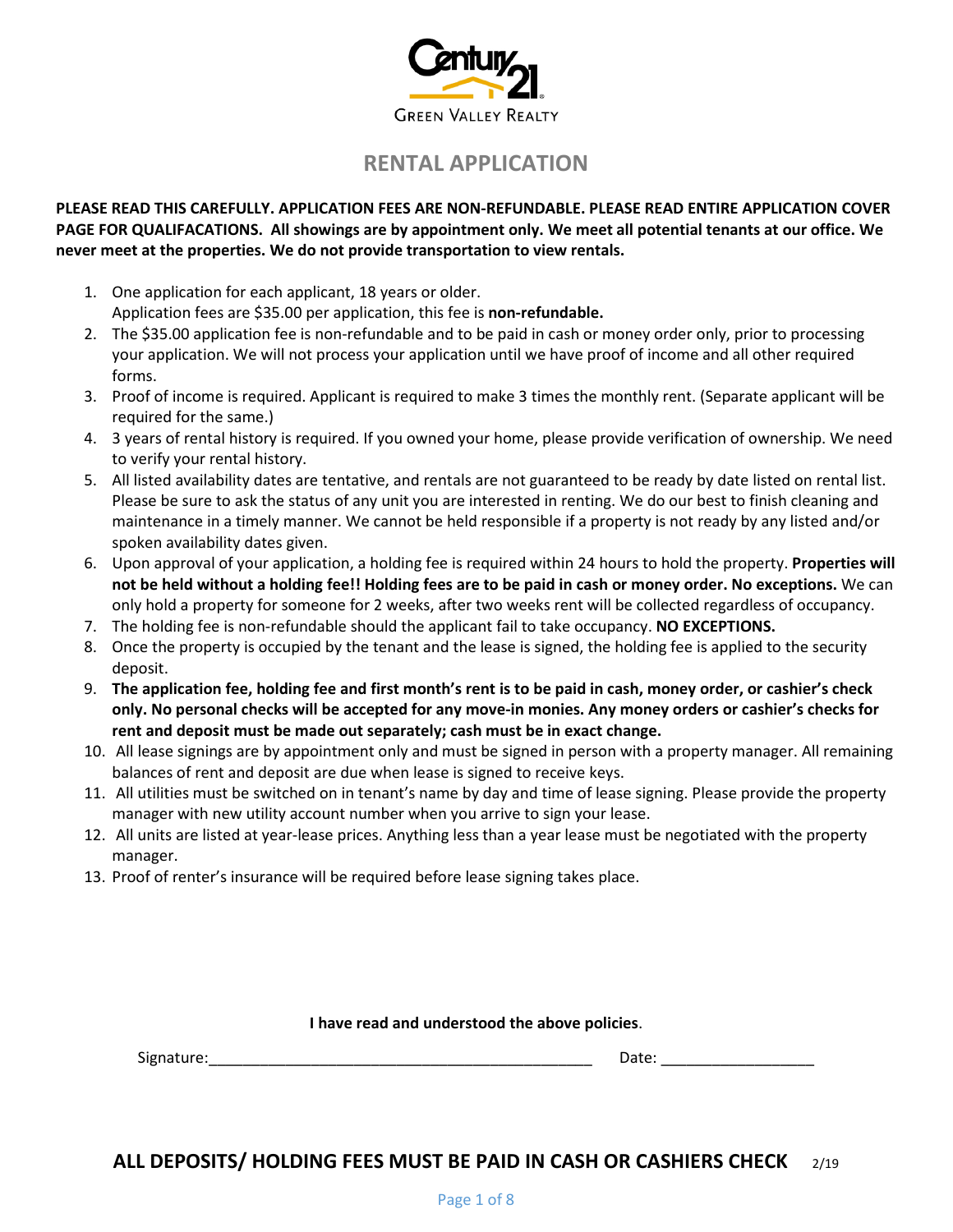

# **RENTAL APPLICATION**

#### **PLEASE READ THIS CAREFULLY. APPLICATION FEES ARE NON-REFUNDABLE. PLEASE READ ENTIRE APPLICATION COVER PAGE FOR QUALIFACATIONS. All showings are by appointment only. We meet all potential tenants at our office. We never meet at the properties. We do not provide transportation to view rentals.**

- 1. One application for each applicant, 18 years or older. Application fees are \$35.00 per application, this fee is **non-refundable.**
- 2. The \$35.00 application fee is non-refundable and to be paid in cash or money order only, prior to processing your application. We will not process your application until we have proof of income and all other required forms.
- 3. Proof of income is required. Applicant is required to make 3 times the monthly rent. (Separate applicant will be required for the same.)
- 4. 3 years of rental history is required. If you owned your home, please provide verification of ownership. We need to verify your rental history.
- 5. All listed availability dates are tentative, and rentals are not guaranteed to be ready by date listed on rental list. Please be sure to ask the status of any unit you are interested in renting. We do our best to finish cleaning and maintenance in a timely manner. We cannot be held responsible if a property is not ready by any listed and/or spoken availability dates given.
- 6. Upon approval of your application, a holding fee is required within 24 hours to hold the property. **Properties will not be held without a holding fee!! Holding fees are to be paid in cash or money order. No exceptions.** We can only hold a property for someone for 2 weeks, after two weeks rent will be collected regardless of occupancy.
- 7. The holding fee is non-refundable should the applicant fail to take occupancy. **NO EXCEPTIONS.**
- 8. Once the property is occupied by the tenant and the lease is signed, the holding fee is applied to the security deposit.
- 9. **The application fee, holding fee and first month's rent is to be paid in cash, money order, or cashier's check only. No personal checks will be accepted for any move-in monies. Any money orders or cashier's checks for rent and deposit must be made out separately; cash must be in exact change.**
- 10. All lease signings are by appointment only and must be signed in person with a property manager. All remaining balances of rent and deposit are due when lease is signed to receive keys.
- 11. All utilities must be switched on in tenant's name by day and time of lease signing. Please provide the property manager with new utility account number when you arrive to sign your lease.
- 12. All units are listed at year-lease prices. Anything less than a year lease must be negotiated with the property manager.
- 13. Proof of renter's insurance will be required before lease signing takes place.

#### **I have read and understood the above policies**.

Signature:\_\_\_\_\_\_\_\_\_\_\_\_\_\_\_\_\_\_\_\_\_\_\_\_\_\_\_\_\_\_\_\_\_\_\_\_\_\_\_\_\_\_\_\_\_ Date: \_\_\_\_\_\_\_\_\_\_\_\_\_\_\_\_\_\_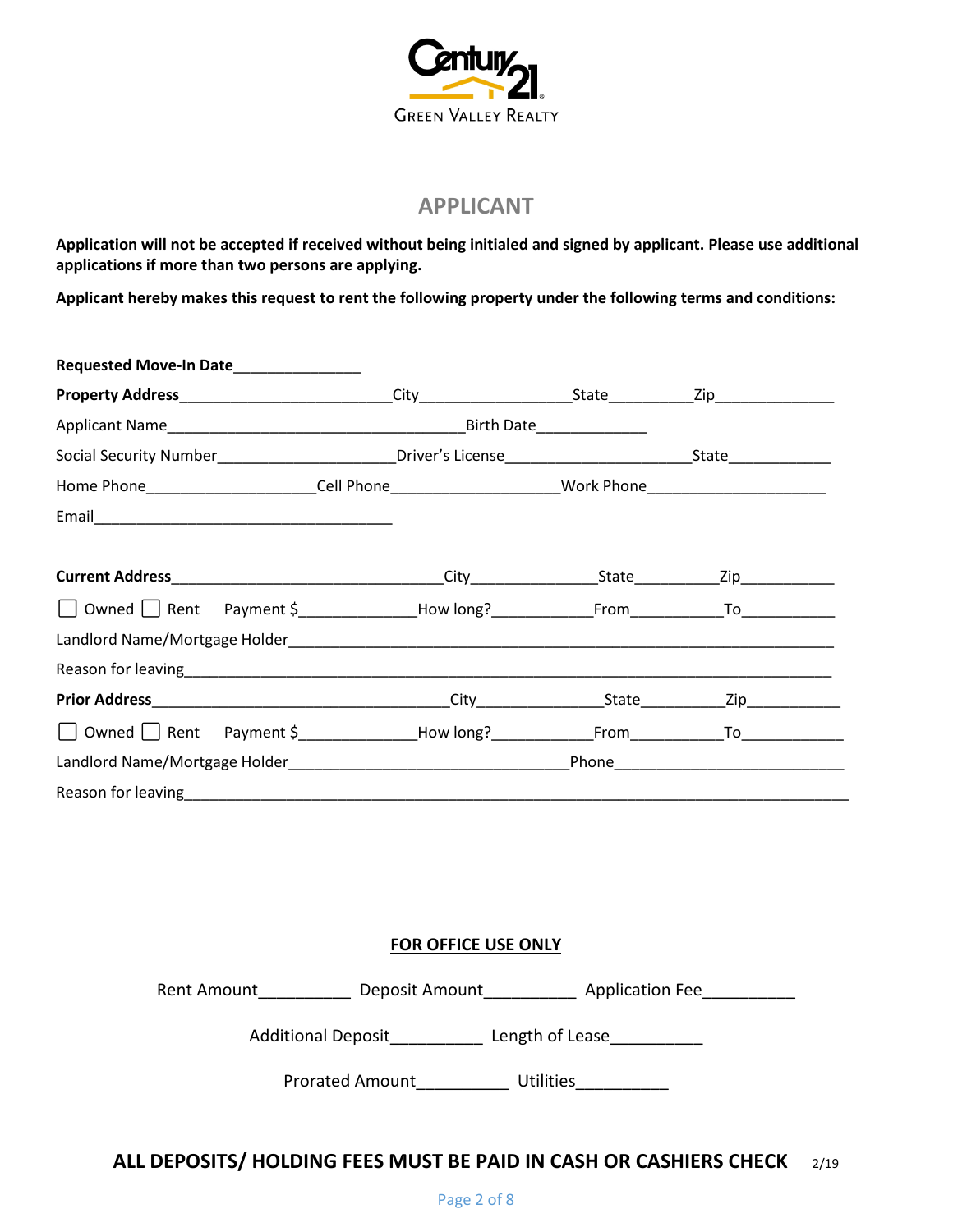

### **APPLICANT**

**Application will not be accepted if received without being initialed and signed by applicant. Please use additional applications if more than two persons are applying.**

**Applicant hereby makes this request to rent the following property under the following terms and conditions:**

| Requested Move-In Date_______________                                                                           |  |  |
|-----------------------------------------------------------------------------------------------------------------|--|--|
|                                                                                                                 |  |  |
|                                                                                                                 |  |  |
|                                                                                                                 |  |  |
| Home Phone________________________Cell Phone_________________________Work Phone__________________________       |  |  |
|                                                                                                                 |  |  |
|                                                                                                                 |  |  |
|                                                                                                                 |  |  |
|                                                                                                                 |  |  |
|                                                                                                                 |  |  |
| Reason for leaving entropy and the set of the set of the set of the set of the set of the set of the set of the |  |  |
|                                                                                                                 |  |  |
|                                                                                                                 |  |  |
|                                                                                                                 |  |  |
|                                                                                                                 |  |  |

#### **FOR OFFICE USE ONLY**

Rent Amount\_\_\_\_\_\_\_\_\_\_\_\_\_ Deposit Amount\_\_\_\_\_\_\_\_\_\_\_\_ Application Fee\_\_\_\_\_\_\_\_\_\_\_\_\_

Additional Deposit\_\_\_\_\_\_\_\_\_\_\_ Length of Lease\_\_\_\_\_\_\_\_\_\_\_

Prorated Amount builities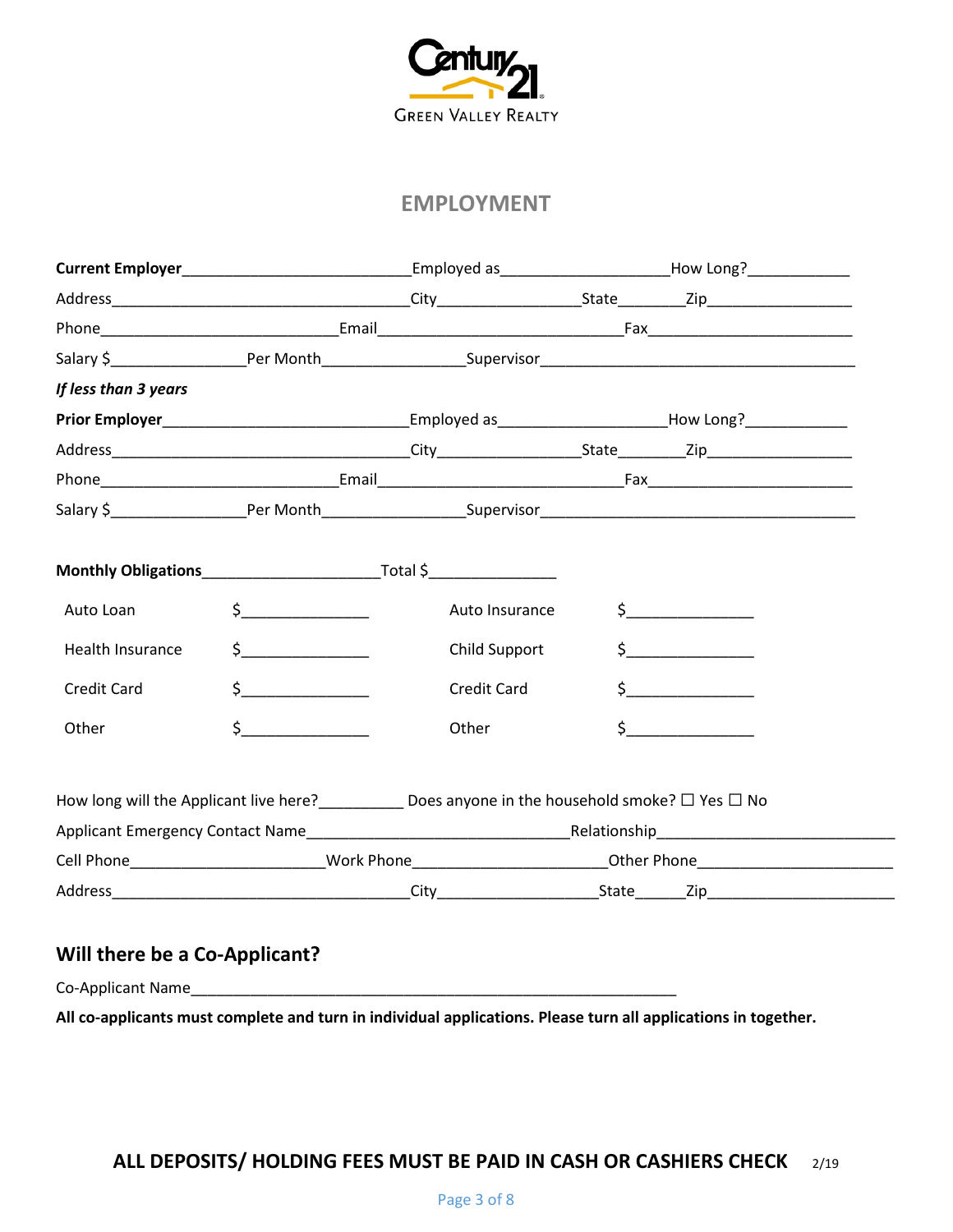

### **EMPLOYMENT**

|                      |               |                                                                                                                  | Employed as ____________________________How Long?_______________________________                                                                                                                                                                                                                                                                    |
|----------------------|---------------|------------------------------------------------------------------------------------------------------------------|-----------------------------------------------------------------------------------------------------------------------------------------------------------------------------------------------------------------------------------------------------------------------------------------------------------------------------------------------------|
|                      |               |                                                                                                                  |                                                                                                                                                                                                                                                                                                                                                     |
|                      |               |                                                                                                                  |                                                                                                                                                                                                                                                                                                                                                     |
|                      |               |                                                                                                                  |                                                                                                                                                                                                                                                                                                                                                     |
| If less than 3 years |               |                                                                                                                  |                                                                                                                                                                                                                                                                                                                                                     |
|                      |               |                                                                                                                  |                                                                                                                                                                                                                                                                                                                                                     |
|                      |               |                                                                                                                  |                                                                                                                                                                                                                                                                                                                                                     |
|                      |               |                                                                                                                  |                                                                                                                                                                                                                                                                                                                                                     |
|                      |               |                                                                                                                  |                                                                                                                                                                                                                                                                                                                                                     |
|                      |               |                                                                                                                  |                                                                                                                                                                                                                                                                                                                                                     |
| Auto Loan            | $\frac{1}{2}$ | Auto Insurance                                                                                                   | $\frac{1}{2}$                                                                                                                                                                                                                                                                                                                                       |
| Health Insurance     | $\sharp$      | Child Support                                                                                                    |                                                                                                                                                                                                                                                                                                                                                     |
| Credit Card          | $\frac{1}{2}$ | Credit Card                                                                                                      | $\begin{picture}(20,20) \put(0,0){\line(1,0){10}} \put(15,0){\line(1,0){10}} \put(15,0){\line(1,0){10}} \put(15,0){\line(1,0){10}} \put(15,0){\line(1,0){10}} \put(15,0){\line(1,0){10}} \put(15,0){\line(1,0){10}} \put(15,0){\line(1,0){10}} \put(15,0){\line(1,0){10}} \put(15,0){\line(1,0){10}} \put(15,0){\line(1,0){10}} \put(15,0){\line(1$ |
| Other                | $\sharp$      | Other                                                                                                            | $\sharp$                                                                                                                                                                                                                                                                                                                                            |
|                      |               | How long will the Applicant live here?<br>_____________ Does anyone in the household smoke? $\Box$ Yes $\Box$ No |                                                                                                                                                                                                                                                                                                                                                     |
|                      |               |                                                                                                                  |                                                                                                                                                                                                                                                                                                                                                     |
|                      |               |                                                                                                                  | Cell Phone__________________________Work Phone____________________________Other Phone_________________________                                                                                                                                                                                                                                      |
|                      |               |                                                                                                                  |                                                                                                                                                                                                                                                                                                                                                     |

# **Will there be a Co-Applicant?**

Co-Applicant Name\_\_\_\_\_\_\_\_\_\_\_\_\_\_\_\_\_\_\_\_\_\_\_\_\_\_\_\_\_\_\_\_\_\_\_\_\_\_\_\_\_\_\_\_\_\_\_\_\_\_\_\_\_\_\_\_\_

**All co-applicants must complete and turn in individual applications. Please turn all applications in together.**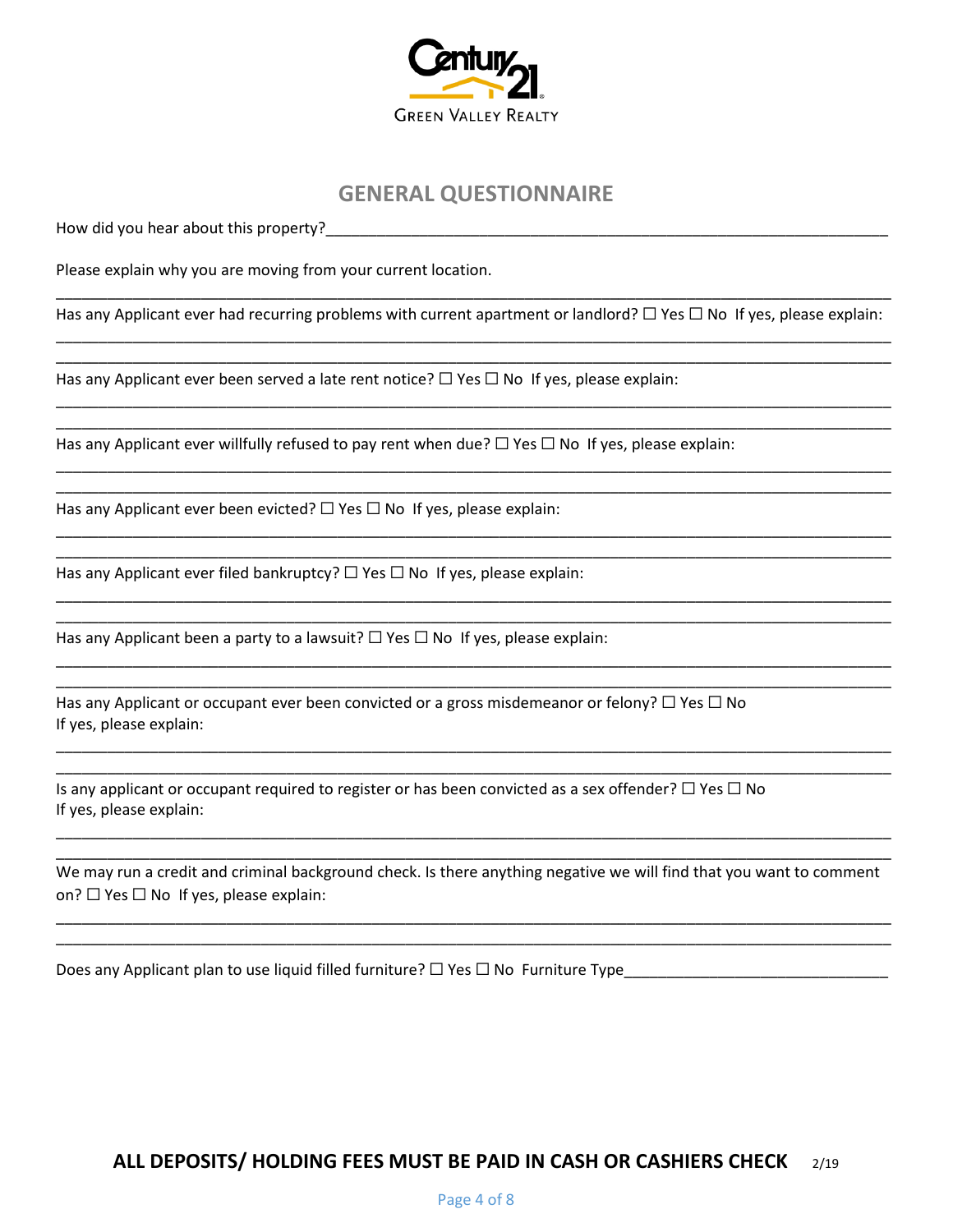

### **GENERAL QUESTIONNAIRE**

How did you hear about this property?

Please explain why you are moving from your current location.

\_\_\_\_\_\_\_\_\_\_\_\_\_\_\_\_\_\_\_\_\_\_\_\_\_\_\_\_\_\_\_\_\_\_\_\_\_\_\_\_\_\_\_\_\_\_\_\_\_\_\_\_\_\_\_\_\_\_\_\_\_\_\_\_\_\_\_\_\_\_\_\_\_\_\_\_\_\_\_\_\_\_\_\_\_\_\_\_\_\_\_\_\_\_\_\_\_\_ Has any Applicant ever had recurring problems with current apartment or landlord?  $\Box$  Yes  $\Box$  No If yes, please explain: \_\_\_\_\_\_\_\_\_\_\_\_\_\_\_\_\_\_\_\_\_\_\_\_\_\_\_\_\_\_\_\_\_\_\_\_\_\_\_\_\_\_\_\_\_\_\_\_\_\_\_\_\_\_\_\_\_\_\_\_\_\_\_\_\_\_\_\_\_\_\_\_\_\_\_\_\_\_\_\_\_\_\_\_\_\_\_\_\_\_\_\_\_\_\_\_\_\_

\_\_\_\_\_\_\_\_\_\_\_\_\_\_\_\_\_\_\_\_\_\_\_\_\_\_\_\_\_\_\_\_\_\_\_\_\_\_\_\_\_\_\_\_\_\_\_\_\_\_\_\_\_\_\_\_\_\_\_\_\_\_\_\_\_\_\_\_\_\_\_\_\_\_\_\_\_\_\_\_\_\_\_\_\_\_\_\_\_\_\_\_\_\_\_\_\_\_

\_\_\_\_\_\_\_\_\_\_\_\_\_\_\_\_\_\_\_\_\_\_\_\_\_\_\_\_\_\_\_\_\_\_\_\_\_\_\_\_\_\_\_\_\_\_\_\_\_\_\_\_\_\_\_\_\_\_\_\_\_\_\_\_\_\_\_\_\_\_\_\_\_\_\_\_\_\_\_\_\_\_\_\_\_\_\_\_\_\_\_\_\_\_\_\_\_\_ \_\_\_\_\_\_\_\_\_\_\_\_\_\_\_\_\_\_\_\_\_\_\_\_\_\_\_\_\_\_\_\_\_\_\_\_\_\_\_\_\_\_\_\_\_\_\_\_\_\_\_\_\_\_\_\_\_\_\_\_\_\_\_\_\_\_\_\_\_\_\_\_\_\_\_\_\_\_\_\_\_\_\_\_\_\_\_\_\_\_\_\_\_\_\_\_\_\_

\_\_\_\_\_\_\_\_\_\_\_\_\_\_\_\_\_\_\_\_\_\_\_\_\_\_\_\_\_\_\_\_\_\_\_\_\_\_\_\_\_\_\_\_\_\_\_\_\_\_\_\_\_\_\_\_\_\_\_\_\_\_\_\_\_\_\_\_\_\_\_\_\_\_\_\_\_\_\_\_\_\_\_\_\_\_\_\_\_\_\_\_\_\_\_\_\_\_ \_\_\_\_\_\_\_\_\_\_\_\_\_\_\_\_\_\_\_\_\_\_\_\_\_\_\_\_\_\_\_\_\_\_\_\_\_\_\_\_\_\_\_\_\_\_\_\_\_\_\_\_\_\_\_\_\_\_\_\_\_\_\_\_\_\_\_\_\_\_\_\_\_\_\_\_\_\_\_\_\_\_\_\_\_\_\_\_\_\_\_\_\_\_\_\_\_\_

\_\_\_\_\_\_\_\_\_\_\_\_\_\_\_\_\_\_\_\_\_\_\_\_\_\_\_\_\_\_\_\_\_\_\_\_\_\_\_\_\_\_\_\_\_\_\_\_\_\_\_\_\_\_\_\_\_\_\_\_\_\_\_\_\_\_\_\_\_\_\_\_\_\_\_\_\_\_\_\_\_\_\_\_\_\_\_\_\_\_\_\_\_\_\_\_\_\_ \_\_\_\_\_\_\_\_\_\_\_\_\_\_\_\_\_\_\_\_\_\_\_\_\_\_\_\_\_\_\_\_\_\_\_\_\_\_\_\_\_\_\_\_\_\_\_\_\_\_\_\_\_\_\_\_\_\_\_\_\_\_\_\_\_\_\_\_\_\_\_\_\_\_\_\_\_\_\_\_\_\_\_\_\_\_\_\_\_\_\_\_\_\_\_\_\_\_

\_\_\_\_\_\_\_\_\_\_\_\_\_\_\_\_\_\_\_\_\_\_\_\_\_\_\_\_\_\_\_\_\_\_\_\_\_\_\_\_\_\_\_\_\_\_\_\_\_\_\_\_\_\_\_\_\_\_\_\_\_\_\_\_\_\_\_\_\_\_\_\_\_\_\_\_\_\_\_\_\_\_\_\_\_\_\_\_\_\_\_\_\_\_\_\_\_\_ \_\_\_\_\_\_\_\_\_\_\_\_\_\_\_\_\_\_\_\_\_\_\_\_\_\_\_\_\_\_\_\_\_\_\_\_\_\_\_\_\_\_\_\_\_\_\_\_\_\_\_\_\_\_\_\_\_\_\_\_\_\_\_\_\_\_\_\_\_\_\_\_\_\_\_\_\_\_\_\_\_\_\_\_\_\_\_\_\_\_\_\_\_\_\_\_\_\_

\_\_\_\_\_\_\_\_\_\_\_\_\_\_\_\_\_\_\_\_\_\_\_\_\_\_\_\_\_\_\_\_\_\_\_\_\_\_\_\_\_\_\_\_\_\_\_\_\_\_\_\_\_\_\_\_\_\_\_\_\_\_\_\_\_\_\_\_\_\_\_\_\_\_\_\_\_\_\_\_\_\_\_\_\_\_\_\_\_\_\_\_\_\_\_\_\_\_ \_\_\_\_\_\_\_\_\_\_\_\_\_\_\_\_\_\_\_\_\_\_\_\_\_\_\_\_\_\_\_\_\_\_\_\_\_\_\_\_\_\_\_\_\_\_\_\_\_\_\_\_\_\_\_\_\_\_\_\_\_\_\_\_\_\_\_\_\_\_\_\_\_\_\_\_\_\_\_\_\_\_\_\_\_\_\_\_\_\_\_\_\_\_\_\_\_\_

\_\_\_\_\_\_\_\_\_\_\_\_\_\_\_\_\_\_\_\_\_\_\_\_\_\_\_\_\_\_\_\_\_\_\_\_\_\_\_\_\_\_\_\_\_\_\_\_\_\_\_\_\_\_\_\_\_\_\_\_\_\_\_\_\_\_\_\_\_\_\_\_\_\_\_\_\_\_\_\_\_\_\_\_\_\_\_\_\_\_\_\_\_\_\_\_\_\_ \_\_\_\_\_\_\_\_\_\_\_\_\_\_\_\_\_\_\_\_\_\_\_\_\_\_\_\_\_\_\_\_\_\_\_\_\_\_\_\_\_\_\_\_\_\_\_\_\_\_\_\_\_\_\_\_\_\_\_\_\_\_\_\_\_\_\_\_\_\_\_\_\_\_\_\_\_\_\_\_\_\_\_\_\_\_\_\_\_\_\_\_\_\_\_\_\_\_

Has any Applicant ever been served a late rent notice?  $\Box$  Yes  $\Box$  No If yes, please explain:

Has any Applicant ever willfully refused to pay rent when due?  $\Box$  Yes  $\Box$  No If yes, please explain:

Has any Applicant ever been evicted?  $\Box$  Yes  $\Box$  No If yes, please explain:

Has any Applicant ever filed bankruptcy?  $\Box$  Yes  $\Box$  No If yes, please explain:

Has any Applicant been a party to a lawsuit?  $\Box$  Yes  $\Box$  No If yes, please explain:

Has any Applicant or occupant ever been convicted or a gross misdemeanor or felony?  $\Box$  Yes  $\Box$  No If yes, please explain:

Is any applicant or occupant required to register or has been convicted as a sex offender?  $\Box$  Yes  $\Box$  No If yes, please explain:

\_\_\_\_\_\_\_\_\_\_\_\_\_\_\_\_\_\_\_\_\_\_\_\_\_\_\_\_\_\_\_\_\_\_\_\_\_\_\_\_\_\_\_\_\_\_\_\_\_\_\_\_\_\_\_\_\_\_\_\_\_\_\_\_\_\_\_\_\_\_\_\_\_\_\_\_\_\_\_\_\_\_\_\_\_\_\_\_\_\_\_\_\_\_\_\_\_\_ We may run a credit and criminal background check. Is there anything negative we will find that you want to comment on?  $\Box$  Yes  $\Box$  No If yes, please explain:

\_\_\_\_\_\_\_\_\_\_\_\_\_\_\_\_\_\_\_\_\_\_\_\_\_\_\_\_\_\_\_\_\_\_\_\_\_\_\_\_\_\_\_\_\_\_\_\_\_\_\_\_\_\_\_\_\_\_\_\_\_\_\_\_\_\_\_\_\_\_\_\_\_\_\_\_\_\_\_\_\_\_\_\_\_\_\_\_\_\_\_\_\_\_\_\_\_\_ \_\_\_\_\_\_\_\_\_\_\_\_\_\_\_\_\_\_\_\_\_\_\_\_\_\_\_\_\_\_\_\_\_\_\_\_\_\_\_\_\_\_\_\_\_\_\_\_\_\_\_\_\_\_\_\_\_\_\_\_\_\_\_\_\_\_\_\_\_\_\_\_\_\_\_\_\_\_\_\_\_\_\_\_\_\_\_\_\_\_\_\_\_\_\_\_\_\_

\_\_\_\_\_\_\_\_\_\_\_\_\_\_\_\_\_\_\_\_\_\_\_\_\_\_\_\_\_\_\_\_\_\_\_\_\_\_\_\_\_\_\_\_\_\_\_\_\_\_\_\_\_\_\_\_\_\_\_\_\_\_\_\_\_\_\_\_\_\_\_\_\_\_\_\_\_\_\_\_\_\_\_\_\_\_\_\_\_\_\_\_\_\_\_\_\_\_

Does any Applicant plan to use liquid filled furniture? ☐ Yes ☐ No Furniture Type\_\_\_\_\_\_\_\_\_\_\_\_\_\_\_\_\_\_\_\_\_\_\_\_\_\_\_\_\_\_\_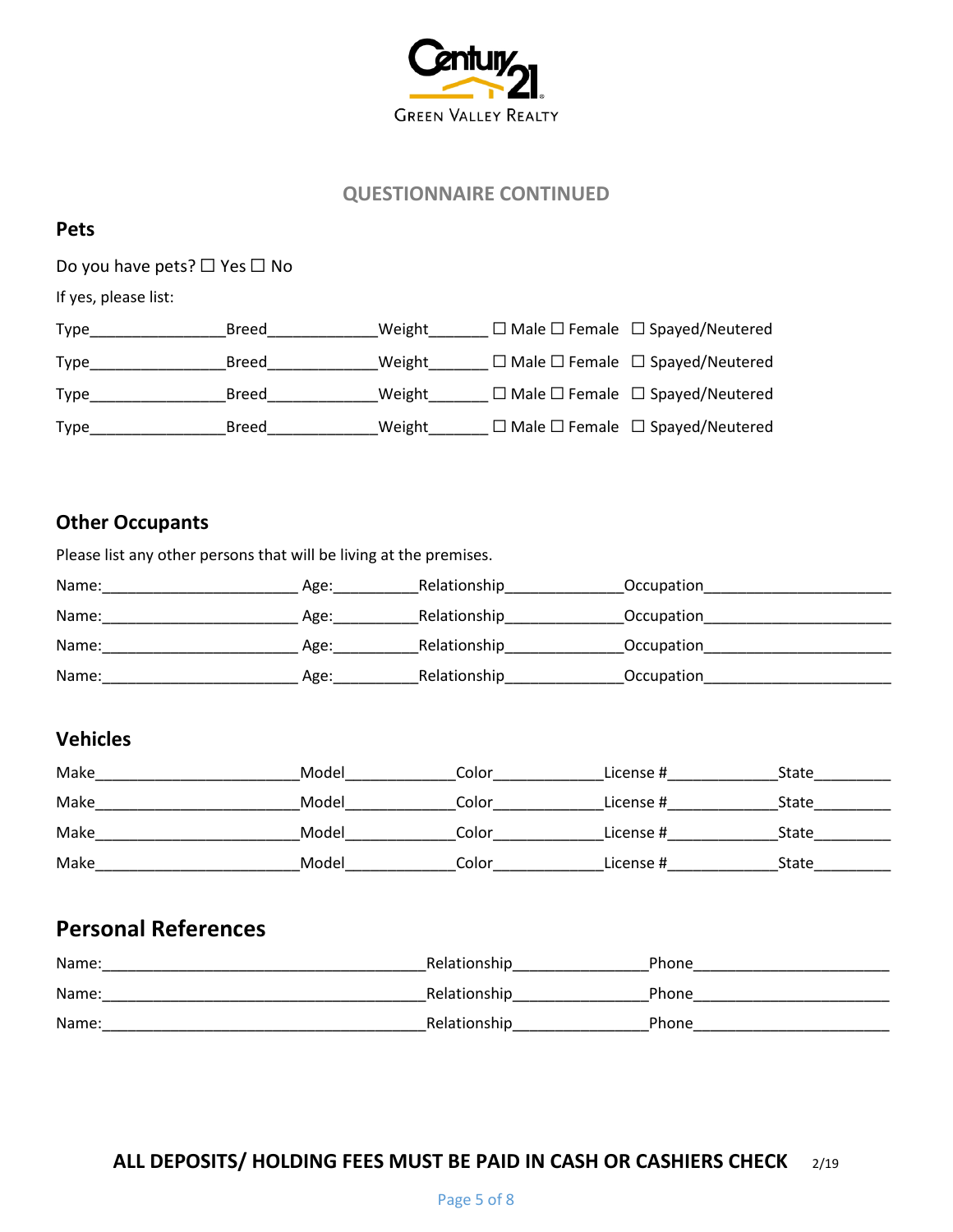

#### **QUESTIONNAIRE CONTINUED**

#### **Pets**

Do you have pets? □ Yes □ No

If yes, please list:

| Type        | Breed | Weight | $\Box$ Male $\Box$ Female $\Box$ Spayed/Neutered |
|-------------|-------|--------|--------------------------------------------------|
| Type        | Breed | Weight | $\Box$ Male $\Box$ Female $\Box$ Spayed/Neutered |
| Type        | Breed | Weight | $\Box$ Male $\Box$ Female $\Box$ Spayed/Neutered |
| <b>Type</b> | Breed | Weight | $\Box$ Male $\Box$ Female $\Box$ Spayed/Neutered |

### **Other Occupants**

Please list any other persons that will be living at the premises. Name:\_\_\_\_\_\_\_\_\_\_\_\_\_\_\_\_\_\_\_\_\_\_\_ Age:\_\_\_\_\_\_\_\_\_\_Relationship\_\_\_\_\_\_\_\_\_\_\_\_\_\_Occupation\_\_\_\_\_\_\_\_\_\_\_\_\_\_\_\_\_\_\_\_\_\_ Name:\_\_\_\_\_\_\_\_\_\_\_\_\_\_\_\_\_\_\_\_\_\_\_ Age:\_\_\_\_\_\_\_\_\_\_Relationship\_\_\_\_\_\_\_\_\_\_\_\_\_\_Occupation\_\_\_\_\_\_\_\_\_\_\_\_\_\_\_\_\_\_\_\_\_\_

| Name: | Age: | Relationship | Occupation |
|-------|------|--------------|------------|
| Name: | Age: | Relationship | Occupation |

## **Vehicles**

| Make | Model | Color | License # | State |
|------|-------|-------|-----------|-------|
| Make | Model | Color | License # | State |
| Make | Model | Color | License # | State |
| Make | Model | Color | License # | State |

# **Personal References**

| Name: | Relationship | Phone |
|-------|--------------|-------|
| Name: | Relationship | Phone |
| Name: | Relationship | Phone |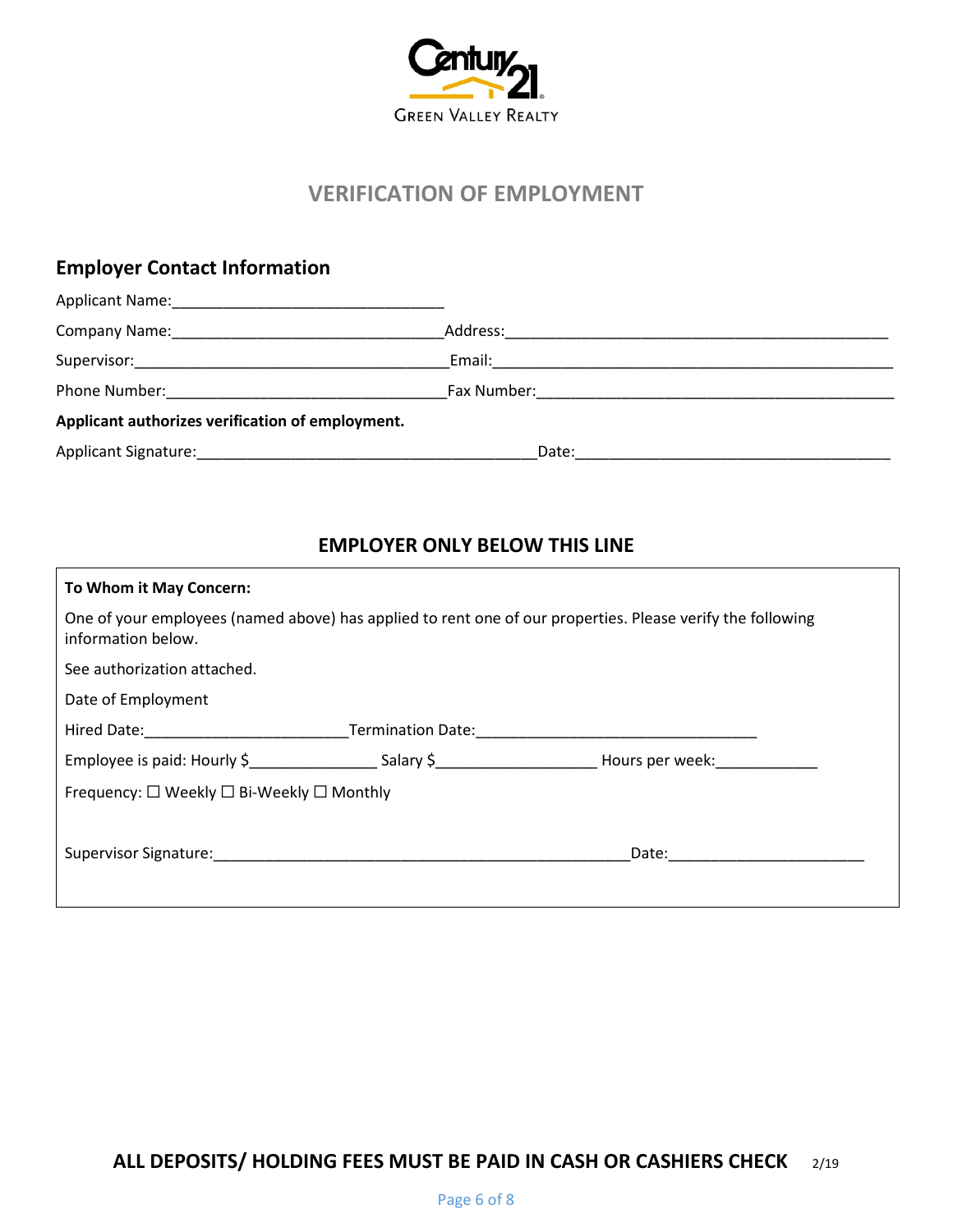

# **VERIFICATION OF EMPLOYMENT**

# **Employer Contact Information**

| Applicant Name:                                  |          |  |
|--------------------------------------------------|----------|--|
|                                                  | Address: |  |
| Supervisor:__________________________            | Email:   |  |
| Phone Number:                                    |          |  |
| Applicant authorizes verification of employment. |          |  |
| Applicant Signature:                             | Date:    |  |

### **EMPLOYER ONLY BELOW THIS LINE**

| To Whom it May Concern:                                                                                       |                   |                                                                                                            |
|---------------------------------------------------------------------------------------------------------------|-------------------|------------------------------------------------------------------------------------------------------------|
| information below.                                                                                            |                   | One of your employees (named above) has applied to rent one of our properties. Please verify the following |
| See authorization attached.                                                                                   |                   |                                                                                                            |
| Date of Employment                                                                                            |                   |                                                                                                            |
| Hired Date: National Property of the Marian School and School and School and School and School and School and | Termination Date: |                                                                                                            |
|                                                                                                               |                   | Employee is paid: Hourly \$ Salary \$ Salary \$ Hours per week:                                            |
| Frequency: $\square$ Weekly $\square$ Bi-Weekly $\square$ Monthly                                             |                   |                                                                                                            |
|                                                                                                               |                   |                                                                                                            |
|                                                                                                               |                   | Date:                                                                                                      |
|                                                                                                               |                   |                                                                                                            |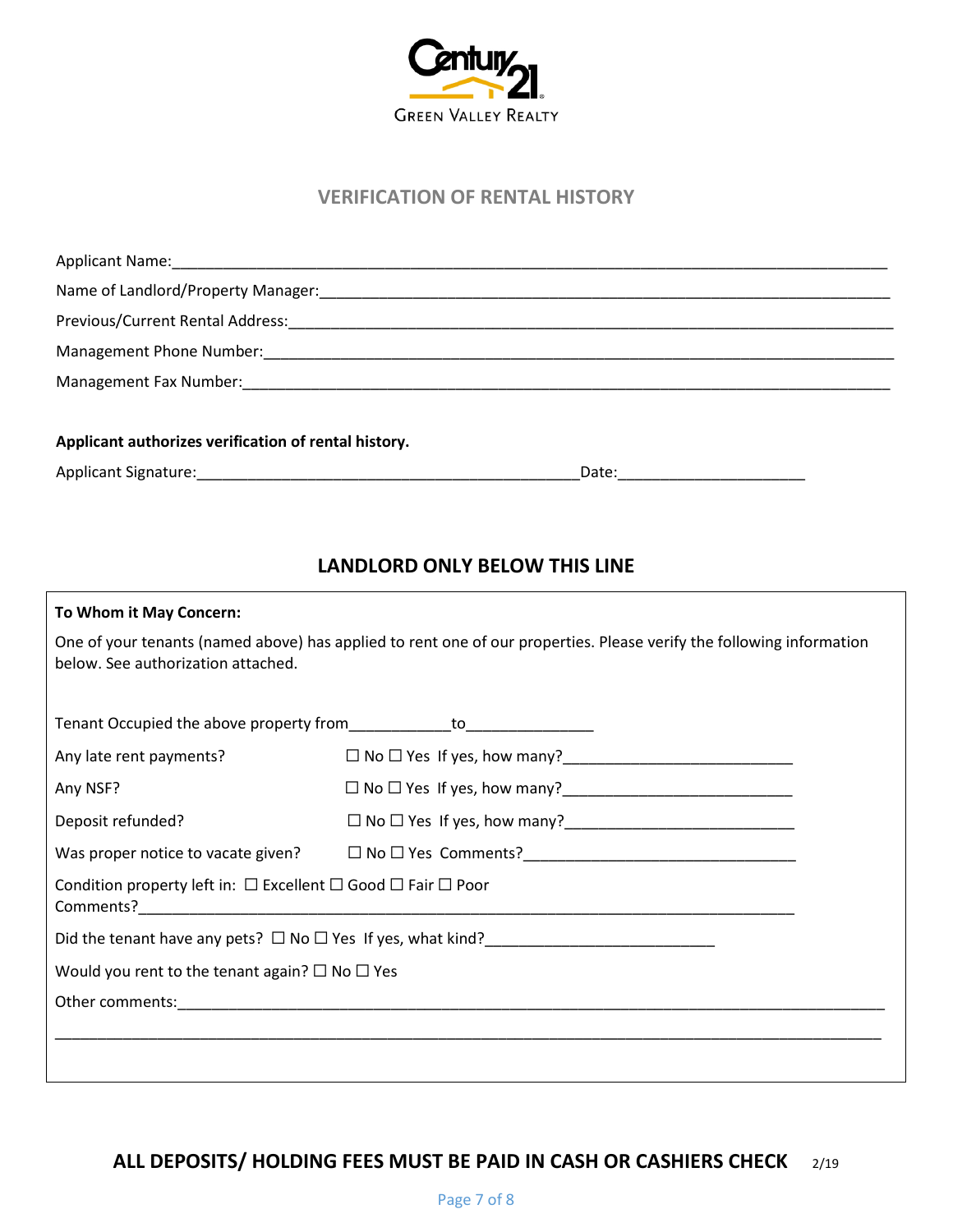

#### **VERIFICATION OF RENTAL HISTORY**

| Applicant authorizes verification of rental history. |       |  |
|------------------------------------------------------|-------|--|
|                                                      | Date: |  |

### **LANDLORD ONLY BELOW THIS LINE**

| To Whom it May Concern:                                                          |                                                                                                                      |  |
|----------------------------------------------------------------------------------|----------------------------------------------------------------------------------------------------------------------|--|
| below. See authorization attached.                                               | One of your tenants (named above) has applied to rent one of our properties. Please verify the following information |  |
|                                                                                  |                                                                                                                      |  |
| Any late rent payments?                                                          |                                                                                                                      |  |
| Any NSF?                                                                         |                                                                                                                      |  |
| Deposit refunded?                                                                |                                                                                                                      |  |
|                                                                                  |                                                                                                                      |  |
| Condition property left in: $\Box$ Excellent $\Box$ Good $\Box$ Fair $\Box$ Poor |                                                                                                                      |  |
|                                                                                  |                                                                                                                      |  |
| Would you rent to the tenant again? $\square$ No $\square$ Yes                   |                                                                                                                      |  |
|                                                                                  |                                                                                                                      |  |
|                                                                                  |                                                                                                                      |  |
|                                                                                  |                                                                                                                      |  |